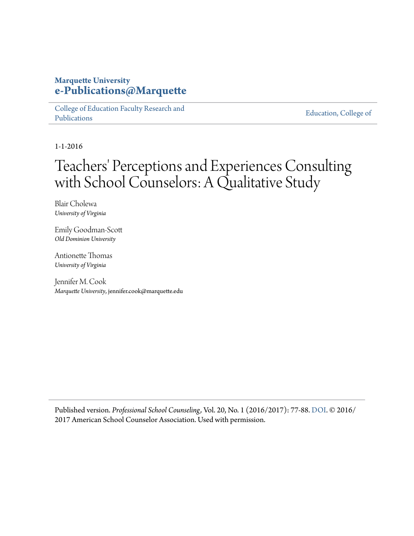### **Marquette University [e-Publications@Marquette](https://epublications.marquette.edu)**

[College of Education Faculty Research and](https://epublications.marquette.edu/edu_fac) [Publications](https://epublications.marquette.edu/edu_fac)

[Education, College of](https://epublications.marquette.edu/education)

1-1-2016

# Teachers' Perceptions and Experiences Consulting with School Counselors: A Qualitative Study

Blair Cholewa *University of Virginia*

Emily Goodman-Scott *Old Dominion University*

Antionette Thomas *University of Virginia*

Jennifer M. Cook *Marquette University*, jennifer.cook@marquette.edu

Published version. *Professional School Counseling,* Vol. 20, No. 1 (2016/2017): 77-88. [DOI](http://dx.doi.org/10.5330/1096-2409-20.1.77). © 2016/ 2017 American School Counselor Association. Used with permission.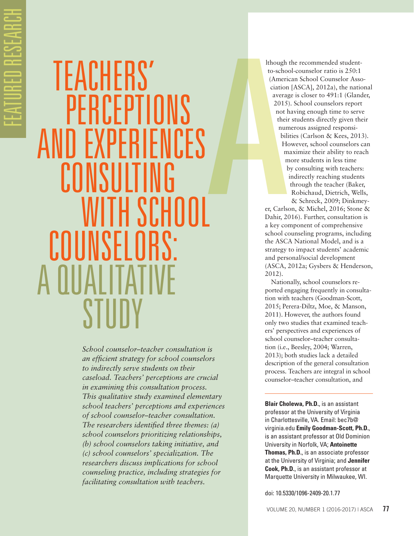# TEACHERS' **PERCEPTIONS** AND EXPERIENCES **CONSULTING** WITH SCHO COUNSELORS: A QUALITATIVE STUDY

*School counselor–teacher consultation is an efficient strategy for school counselors to indirectly serve students on their caseload. Teachers' perceptions are crucial in examining this consultation process. This qualitative study examined elementary school teachers' perceptions and experiences of school counselor–teacher consultation. The researchers identified three themes: (a) school counselors prioritizing relationships, (b) school counselors taking initiative, and (c) school counselors' specialization. The researchers discuss implications for school counseling practice, including strategies for facilitating consultation with teachers.*

Ithough<br>to-school<br>(Americation<br>average<br>2015)<br>not his their<br>num<br>bili Hotel<br>m<br>m<br>m<br>m<br>their<br>m<br>m<br>m<br>m<br>m<br>their<br>ex, Carlse<br>ex, Carlse<br>2015)<br>did Hotel<br>m<br>m<br>m<br>their<br>ex, Carlse<br>2016, ex, Carlse<br>2016, ex, Carlse<br>2016, ex, Carlse<br>2016, lthough the recommended studentto-school-counselor ratio is 250:1 (American School Counselor Association [ASCA], 2012a), the national average is closer to 491:1 (Glander, 2015). School counselors report not having enough time to serve their students directly given their numerous assigned responsibilities (Carlson & Kees, 2013). However, school counselors can maximize their ability to reach more students in less time by consulting with teachers: indirectly reaching students through the teacher (Baker, Robichaud, Dietrich, Wells, & Schreck, 2009; Dinkmey-

er, Carlson, & Michel, 2016; Stone & Dahir, 2016). Further, consultation is a key component of comprehensive school counseling programs, including the ASCA National Model, and is a strategy to impact students' academic and personal/social development (ASCA, 2012a; Gysbers & Henderson, 2012).

Nationally, school counselors reported engaging frequently in consultation with teachers (Goodman-Scott, 2015; Perera-Diltz, Moe, & Manson, 2011). However, the authors found only two studies that examined teachers' perspectives and experiences of school counselor–teacher consultation (i.e., Beesley, 2004; Warren, 2013); both studies lack a detailed description of the general consultation process. Teachers are integral in school counselor–teacher consultation, and

**Blair Cholewa, Ph.D.**, is an assistant professor at the University of Virginia in Charlottesville, VA. Email: bec7b@ virginia.edu **Emily Goodman-Scott, Ph.D.**, is an assistant professor at Old Dominion University in Norfolk, VA; **Antoinette Thomas, Ph.D.**, is an associate professor at the University of Virginia; and **Jennifer Cook, Ph.D.**, is an assistant professor at Marquette University in Milwaukee, WI.

doi: 10.5330/1096-2409-20.1.77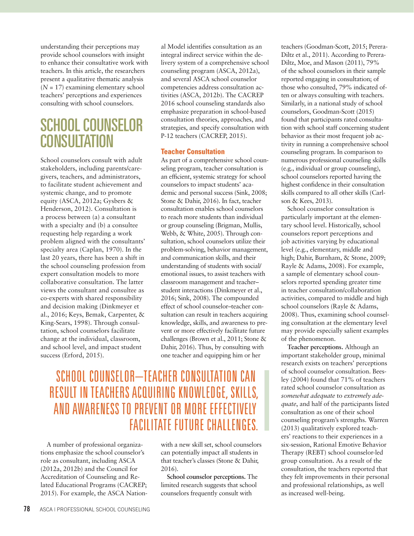understanding their perceptions may provide school counselors with insight to enhance their consultative work with teachers. In this article, the researchers present a qualitative thematic analysis (*N* = 17) examining elementary school teachers' perceptions and experiences consulting with school counselors.

### SCHOOL COUNSELOR **CONSULTATION**

School counselors consult with adult stakeholders, including parents/caregivers, teachers, and administrators, to facilitate student achievement and systemic change, and to promote equity (ASCA, 2012a; Gysbers & Henderson, 2012). Consultation is a process between (a) a consultant with a specialty and (b) a consultee requesting help regarding a work problem aligned with the consultants' specialty area (Caplan, 1970). In the last 20 years, there has been a shift in the school counseling profession from expert consultation models to more collaborative consultation. The latter views the consultant and consultee as co-experts with shared responsibility and decision making (Dinkmeyer et al., 2016; Keys, Bemak, Carpenter, & King-Sears, 1998). Through consultation, school counselors facilitate change at the individual, classroom, and school level, and impact student success (Erford, 2015).

al Model identifies consultation as an integral indirect service within the delivery system of a comprehensive school counseling program (ASCA, 2012a), and several ASCA school counselor competencies address consultation activities (ASCA, 2012b). The CACREP 2016 school counseling standards also emphasize preparation in school-based consultation theories, approaches, and strategies, and specify consultation with P-12 teachers (CACREP, 2015).

#### **Teacher Consultation**

As part of a comprehensive school counseling program, teacher consultation is an efficient, systemic strategy for school counselors to impact students' academic and personal success (Sink, 2008; Stone & Dahir, 2016). In fact, teacher consultation enables school counselors to reach more students than individual or group counseling (Brigman, Mullis, Webb, & White, 2005). Through consultation, school counselors utilize their problem-solving, behavior management, and communication skills, and their understanding of students with social/ emotional issues, to assist teachers with classroom management and teacher– student interactions (Dinkmeyer et al., 2016; Sink, 2008). The compounded effect of school counselor–teacher consultation can result in teachers acquiring knowledge, skills, and awareness to prevent or more effectively facilitate future challenges (Brown et al., 2011; Stone & Dahir, 2016). Thus, by consulting with one teacher and equipping him or her

### SCHOOL COUNSELOR–TEACHER CONSULTATION CAN RESULT IN TEACHERS ACQUIRING KNOWLEDGE, SKILLS, AND AWARENESS TO PREVENT OR MORE EFFECTIVELY FACILITATE FUTURE CHALLENGES.

A number of professional organizations emphasize the school counselor's role as consultant, including ASCA (2012a, 2012b) and the Council for Accreditation of Counseling and Related Educational Programs (CACREP; 2015). For example, the ASCA Nationwith a new skill set, school counselors can potentially impact all students in that teacher's classes (Stone & Dahir, 2016).

**School counselor perceptions.** The limited research suggests that school counselors frequently consult with

teachers (Goodman-Scott, 2015; Perera-Diltz et al., 2011). According to Perera-Diltz, Moe, and Mason (2011), 79% of the school counselors in their sample reported engaging in consultation; of those who consulted, 79% indicated often or always consulting with teachers. Similarly, in a national study of school counselors, Goodman-Scott (2015) found that participants rated consultation with school staff concerning student behavior as their most frequent job activity in running a comprehensive school counseling program. In comparison to numerous professional counseling skills (e.g., individual or group counseling), school counselors reported having the highest confidence in their consultation skills compared to all other skills (Carlson & Kees, 2013).

School counselor consultation is particularly important at the elementary school level. Historically, school counselors report perceptions and job activities varying by educational level (e.g., elementary, middle and high; Dahir, Burnham, & Stone, 2009; Rayle & Adams, 2008). For example, a sample of elementary school counselors reported spending greater time in teacher consultation/collaboration activities, compared to middle and high school counselors (Rayle & Adams, 2008). Thus, examining school counseling consultation at the elementary level may provide especially salient examples of the phenomenon.

**Teacher perceptions.** Although an important stakeholder group, minimal research exists on teachers' perceptions of school counselor consultation. Beesley (2004) found that 71% of teachers rated school counselor consultation as *somewhat adequate* to *extremely adequate*, and half of the participants listed consultation as one of their school counseling program's strengths. Warren (2013) qualitatively explored teachers' reactions to their experiences in a six-session, Rational Emotive Behavior Therapy (REBT) school counselor-led group consultation. As a result of the consultation, the teachers reported that they felt improvements in their personal and professional relationships, as well as increased well-being.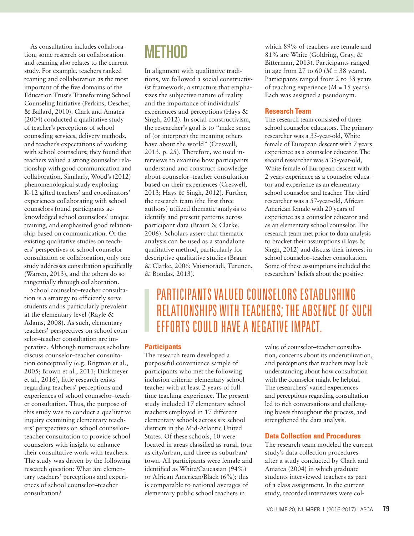As consultation includes collaboration, some research on collaboration and teaming also relates to the current study. For example, teachers ranked teaming and collaboration as the most important of the five domains of the Education Trust's Transforming School Counseling Initiative (Perkins, Oescher, & Ballard, 2010). Clark and Amatea (2004) conducted a qualitative study of teacher's perceptions of school counseling services, delivery methods, and teacher's expectations of working with school counselors; they found that teachers valued a strong counselor relationship with good communication and collaboration. Similarly, Wood's (2012) phenomenological study exploring K-12 gifted teachers' and coordinators' experiences collaborating with school counselors found participants acknowledged school counselors' unique training, and emphasized good relationship based on communication. Of the existing qualitative studies on teachers' perspectives of school counselor consultation or collaboration, only one study addresses consultation specifically (Warren, 2013), and the others do so tangentially through collaboration.

School counselor–teacher consultation is a strategy to efficiently serve students and is particularly prevalent at the elementary level (Rayle & Adams, 2008). As such, elementary teachers' perspectives on school counselor–teacher consultation are imperative. Although numerous scholars discuss counselor–teacher consultation conceptually (e.g. Brigman et al., 2005; Brown et al., 2011; Dinkmeyer et al., 2016), little research exists regarding teachers' perceptions and experiences of school counselor–teacher consultation. Thus, the purpose of this study was to conduct a qualitative inquiry examining elementary teachers' perspectives on school counselor– teacher consultation to provide school counselors with insight to enhance their consultative work with teachers. The study was driven by the following research question: What are elementary teachers' perceptions and experiences of school counselor–teacher consultation?

# **METHOD**

In alignment with qualitative traditions, we followed a social constructivist framework, a structure that emphasizes the subjective nature of reality and the importance of individuals' experiences and perceptions (Hays & Singh, 2012). In social constructivism, the researcher's goal is to "make sense of (or interpret) the meaning others have about the world" (Creswell, 2013, p. 25). Therefore, we used interviews to examine how participants understand and construct knowledge about counselor–teacher consultation based on their experiences (Creswell, 2013; Hays & Singh, 2012). Further, the research team (the first three authors) utilized thematic analysis to identify and present patterns across participant data (Braun & Clarke, 2006). Scholars assert that thematic analysis can be used as a standalone qualitative method, particularly for descriptive qualitative studies (Braun & Clarke, 2006; Vaismoradi, Turunen, & Bondas, 2013).

which 89% of teachers are female and 81% are White (Goldring, Gray, & Bitterman, 2013). Participants ranged in age from 27 to 60 (*M* = 38 years). Participants ranged from 2 to 38 years of teaching experience (*M* = 15 years). Each was assigned a pseudonym.

#### **Research Team**

The research team consisted of three school counselor educators. The primary researcher was a 35-year-old, White female of European descent with 7 years experience as a counselor educator. The second researcher was a 35-year-old, White female of European descent with 2 years experience as a counselor educator and experience as an elementary school counselor and teacher. The third researcher was a 57-year-old, African American female with 20 years of experience as a counselor educator and as an elementary school counselor. The research team met prior to data analysis to bracket their assumptions (Hays & Singh, 2012) and discuss their interest in school counselor–teacher consultation. Some of these assumptions included the researchers' beliefs about the positive

### PARTICIPANTS VALUED COUNSELORS ESTABLISHING RELATIONSHIPS WITH TEACHERS; THE ABSENCE OF SUCH EFFORTS COULD HAVE A NEGATIVE IMPACT.

#### **Participants**

The research team developed a purposeful convenience sample of participants who met the following inclusion criteria: elementary school teacher with at least 2 years of fulltime teaching experience. The present study included 17 elementary school teachers employed in 17 different elementary schools across six school districts in the Mid-Atlantic United States. Of these schools, 10 were located in areas classified as rural, four as city/urban, and three as suburban/ town. All participants were female and identified as White/Caucasian (94%) or African American/Black (6%); this is comparable to national averages of elementary public school teachers in

value of counselor–teacher consultation, concerns about its underutilization, and perceptions that teachers may lack understanding about how consultation with the counselor might be helpful. The researchers' varied experiences and perceptions regarding consultation led to rich conversations and challenging biases throughout the process, and strengthened the data analysis.

#### **Data Collection and Procedures**

The research team modeled the current study's data collection procedures after a study conducted by Clark and Amatea (2004) in which graduate students interviewed teachers as part of a class assignment. In the current study, recorded interviews were col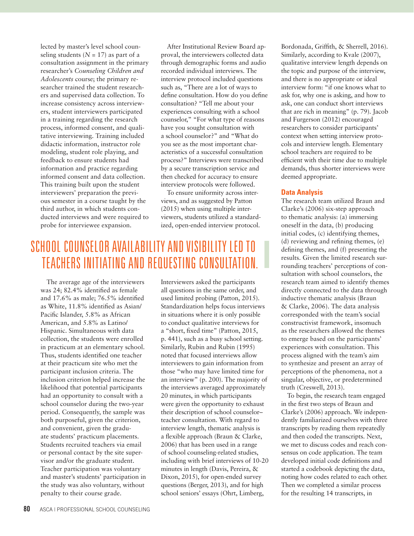lected by master's level school counseling students  $(N = 17)$  as part of a consultation assignment in the primary researcher's *Counseling Children and Adolescents* course; the primary researcher trained the student researchers and supervised data collection. To increase consistency across interviewers, student interviewers participated in a training regarding the research process, informed consent, and qualitative interviewing. Training included didactic information, instructor role modeling, student role playing, and feedback to ensure students had information and practice regarding informed consent and data collection. This training built upon the student interviewers' preparation the previous semester in a course taught by the third author, in which students conducted interviews and were required to probe for interviewee expansion.

After Institutional Review Board approval, the interviewers collected data through demographic forms and audio recorded individual interviews. The interview protocol included questions such as, "There are a lot of ways to define consultation. How do you define consultation? "Tell me about your experiences consulting with a school counselor," "For what type of reasons have you sought consultation with a school counselor?" and "What do you see as the most important characteristics of a successful consultation process?" Interviews were transcribed by a secure transcription service and then checked for accuracy to ensure interview protocols were followed.

To ensure uniformity across interviews, and as suggested by Patton (2015) when using multiple interviewers, students utilized a standardized, open-ended interview protocol.

### SCHOOL COUNSELOR AVAILABILITY AND VISIBILITY LED TO TEACHERS INITIATING AND REQUESTING CONSULTATION.

The average age of the interviewers was 24; 82.4% identified as female and 17.6% as male; 76.5% identified as White, 11.8% identified as Asian/ Pacific Islander, 5.8% as African American, and 5.8% as Latino/ Hispanic. Simultaneous with data collection, the students were enrolled in practicum at an elementary school. Thus, students identified one teacher at their practicum site who met the participant inclusion criteria. The inclusion criterion helped increase the likelihood that potential participants had an opportunity to consult with a school counselor during the two-year period. Consequently, the sample was both purposeful, given the criterion, and convenient, given the graduate students' practicum placements. Students recruited teachers via email or personal contact by the site supervisor and/or the graduate student. Teacher participation was voluntary and master's students' participation in the study was also voluntary, without penalty to their course grade.

Interviewers asked the participants all questions in the same order, and used limited probing (Patton, 2015). Standardization helps focus interviews in situations where it is only possible to conduct qualitative interviews for a "short, fixed time" (Patton, 2015, p. 441), such as a busy school setting. Similarly, Rubin and Rubin (1995) noted that focused interviews allow interviewers to gain information from those "who may have limited time for an interview" (p. 200). The majority of the interviews averaged approximately 20 minutes, in which participants were given the opportunity to exhaust their description of school counselor– teacher consultation. With regard to interview length, thematic analysis is a flexible approach (Braun & Clarke, 2006) that has been used in a range of school counseling-related studies, including with brief interviews of 10-20 minutes in length (Davis, Pereira, & Dixon, 2015), for open-ended survey questions (Berger, 2013), and for high school seniors' essays (Ohrt, Limberg,

Bordonada, Griffith, & Sherrell, 2016). Similarly, according to Kvale (2007), qualitative interview length depends on the topic and purpose of the interview, and there is no appropriate or ideal interview form: "if one knows what to ask for, why one is asking, and how to ask, one can conduct short interviews that are rich in meaning" (p. 79). Jacob and Furgerson (2012) encouraged researchers to consider participants' context when setting interview protocols and interview length. Elementary school teachers are required to be efficient with their time due to multiple demands, thus shorter interviews were deemed appropriate.

#### **Data Analysis**

The research team utilized Braun and Clarke's (2006) six-step approach to thematic analysis: (a) immersing oneself in the data, (b) producing initial codes, (c) identifying themes, (d) reviewing and refining themes, (e) defining themes, and (f) presenting the results. Given the limited research surrounding teachers' perceptions of consultation with school counselors, the research team aimed to identify themes directly connected to the data through inductive thematic analysis (Braun & Clarke, 2006). The data analysis corresponded with the team's social constructivist framework, insomuch as the researchers allowed the themes to emerge based on the participants' experiences with consultation. This process aligned with the team's aim to synthesize and present an array of perceptions of the phenomena, not a singular, objective, or predetermined truth (Creswell, 2013).

To begin, the research team engaged in the first two steps of Braun and Clarke's (2006) approach. We independently familiarized ourselves with three transcripts by reading them repeatedly and then coded the transcripts. Next, we met to discuss codes and reach consensus on code application. The team developed initial code definitions and started a codebook depicting the data, noting how codes related to each other. Then we completed a similar process for the resulting 14 transcripts, in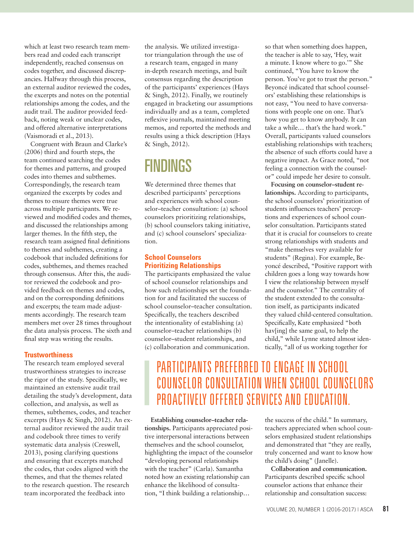which at least two research team members read and coded each transcript independently, reached consensus on codes together, and discussed discrepancies. Halfway through this process, an external auditor reviewed the codes, the excerpts and notes on the potential relationships among the codes, and the audit trail. The auditor provided feedback, noting weak or unclear codes, and offered alternative interpretations (Vaismoradi et al., 2013).

Congruent with Braun and Clarke's (2006) third and fourth steps, the team continued searching the codes for themes and patterns, and grouped codes into themes and subthemes. Correspondingly, the research team organized the excerpts by codes and themes to ensure themes were true across multiple participants. We reviewed and modified codes and themes, and discussed the relationships among larger themes. In the fifth step, the research team assigned final definitions to themes and subthemes, creating a codebook that included definitions for codes, subthemes, and themes reached through consensus. After this, the auditor reviewed the codebook and provided feedback on themes and codes, and on the corresponding definitions and excerpts; the team made adjustments accordingly. The research team members met over 28 times throughout the data analysis process. The sixth and final step was writing the results.

#### **Trustworthiness**

The research team employed several trustworthiness strategies to increase the rigor of the study. Specifically, we maintained an extensive audit trail detailing the study's development, data collection, and analysis, as well as themes, subthemes, codes, and teacher excerpts (Hays & Singh, 2012). An external auditor reviewed the audit trail and codebook three times to verify systematic data analysis (Creswell, 2013), posing clarifying questions and ensuring that excerpts matched the codes, that codes aligned with the themes, and that the themes related to the research question. The research team incorporated the feedback into

the analysis. We utilized investigator triangulation through the use of a research team, engaged in many in-depth research meetings, and built consensus regarding the description of the participants' experiences (Hays & Singh, 2012). Finally, we routinely engaged in bracketing our assumptions individually and as a team, completed reflexive journals, maintained meeting memos, and reported the methods and results using a thick description (Hays & Singh, 2012).

### FINDINGS

We determined three themes that described participants' perceptions and experiences with school counselor–teacher consultation: (a) school counselors prioritizing relationships, (b) school counselors taking initiative, and (c) school counselors' specialization.

#### **School Counselors Prioritizing Relationships**

The participants emphasized the value of school counselor relationships and how such relationships set the foundation for and facilitated the success of school counselor–teacher consultation. Specifically, the teachers described the intentionality of establishing (a) counselor–teacher relationships (b) counselor–student relationships, and (c) collaboration and communication.

so that when something does happen, the teacher is able to say, 'Hey, wait a minute. I know where to go.'" She continued, "You have to know the person. You've got to trust the person." Beyoncé indicated that school counselors' establishing these relationships is not easy, "You need to have conversations with people one on one. That's how you get to know anybody. It can take a while… that's the hard work." Overall, participants valued counselors establishing relationships with teachers; the absence of such efforts could have a negative impact. As Grace noted, "not feeling a connection with the counselor" could impede her desire to consult.

**Focusing on counselor–student relationships.** According to participants, the school counselors' prioritization of students influences teachers' perceptions and experiences of school counselor consultation. Participants stated that it is crucial for counselors to create strong relationships with students and "make themselves very available for students" (Regina). For example, Beyoncé described, "Positive rapport with children goes a long way towards how I view the relationship between myself and the counselor." The centrality of the student extended to the consultation itself, as participants indicated they valued child-centered consultation. Specifically, Kate emphasized "both hav[ing] the same goal, to help the child," while Lynne stated almost identically, "all of us working together for

### PARTICIPANTS PREFERRED TO ENGAGE IN SCHOOL COUNSELOR CONSULTATION WHEN SCHOOL COUNSELORS PROACTIVELY OFFERED SERVICES AND EDUCATION.

**Establishing counselor–teacher relationships.** Participants appreciated positive interpersonal interactions between themselves and the school counselor, highlighting the impact of the counselor "developing personal relationships with the teacher" (Carla). Samantha noted how an existing relationship can enhance the likelihood of consultation, "I think building a relationship…

the success of the child." In summary, teachers appreciated when school counselors emphasized student relationships and demonstrated that "they are really, truly concerned and want to know how the child's doing" (Janelle).

**Collaboration and communication.**  Participants described specific school counselor actions that enhance their relationship and consultation success: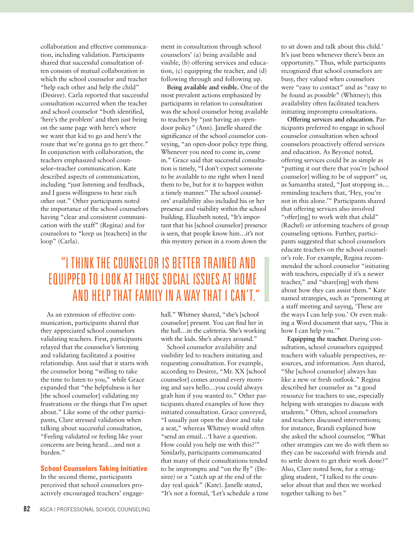collaboration and effective communication, including validation. Participants shared that successful consultation often consists of mutual collaboration in which the school counselor and teacher "help each other and help the child" (Desiree). Carla reported that successful consultation occurred when the teacher and school counselor "both identified, 'here's the problem' and then just being on the same page with here's where we want that kid to go and here's the route that we're gonna go to get there." In conjunction with collaboration, the teachers emphasized school counselor–teacher communication. Kate described aspects of communication, including "just listening and feedback, and I guess willingness to hear each other out." Other participants noted the importance of the school counselors having "clear and consistent communication with the staff" (Regina) and for counselors to "keep us [teachers] in the loop" (Carla).

ment in consultation through school counselors' (a) being available and visible, (b) offering services and education, (c) equipping the teacher, and (d) following through and following up.

**Being available and visible.** One of the most prevalent actions emphasized by participants in relation to consultation was the school counselor being available to teachers by "just having an opendoor policy*"* (Ann)*.* Janelle shared the significance of the school counselor conveying, "an open-door policy type thing. Whenever you need to come in, come in." Grace said that successful consultation is timely, "I don't expect someone to be available to me right when I need them to be, but for it to happen within a timely manner." The school counselors' availability also included his or her presence and visibility within the school building. Elizabeth noted, "It's important that his [school counselor] presence is seen, that people know him…it's not this mystery person in a room down the

### "I THINK THE COUNSELOR IS BETTER TRAINED AND EQUIPPED TO LOOK AT THOSE SOCIAL ISSUES AT HOME AND HELP THAT FAMILY IN A WAY THAT I CAN'T."

As an extension of effective communication, participants shared that they appreciated school counselors validating teachers. First, participants relayed that the counselor's listening and validating facilitated a positive relationship. Ann said that it starts with the counselor being "willing to take the time to listen to you," while Grace expanded that "the helpfulness is her [the school counselor] validating my frustrations or the things that I'm upset about." Like some of the other participants, Clare stressed validation when talking about successful consultation, "Feeling validated or feeling like your concerns are being heard…and not a burden."

#### **School Counselors Taking Initiative**

In the second theme, participants perceived that school counselors proactively encouraged teachers' engagehall." Whitney shared, "she's [school counselor] present. You can find her in the hall…in the cafeteria. She's working with the kids. She's always around."

School counselor availability and visibility led to teachers initiating and requesting consultation. For example, according to Desiree, "Mr. XX [school counselor] comes around every morning and says hello…you could always grab him if you wanted to." Other participants shared examples of how they initiated consultation. Grace conveyed, "I usually just open the door and take a seat," whereas Whitney would often "send an email…'I have a question. How could you help me with this?'" Similarly, participants communicated that many of their consultations tended to be impromptu and "on the fly" (Desiree) or a "catch up at the end of the day real quick" (Kate). Janelle stated, "It's not a formal, 'Let's schedule a time to sit down and talk about this child.' It's just been whenever there's been an opportunity." Thus, while participants recognized that school counselors are busy, they valued when counselors were "easy to contact" and as "easy to be found as possible" (Whitney); this availability often facilitated teachers initiating impromptu consultations.

**Offering services and education.** Participants preferred to engage in school counselor consultation when school counselors proactively offered services and education. As Beyoncé noted, offering services could be as simple as "putting it out there that you're [school counselor] willing to be of support" or, as Samantha stated, "Just stopping in… reminding teachers that, 'Hey, you're not in this alone.'" Participants shared that offering services also involved "offer[ing] to work with that child" (Rachel) or informing teachers of group counseling options. Further, participants suggested that school counselors educate teachers on the school counselor's role. For example, Regina recommended the school counselor "initiating with teachers, especially if it's a newer teacher," and "share[ing] with them about how they can assist them." Kate named strategies, such as "presenting at a staff meeting and saying, 'These are the ways I can help you.' Or even making a Word document that says, 'This is how I can help you.'"

**Equipping the teacher.** During consultation, school counselors equipped teachers with valuable perspectives, resources, and information. Ann shared, "She [school counselor] always has like a new or fresh outlook." Regina described her counselor as "a good resource for teachers to use, especially helping with strategies to discuss with students." Often, school counselors and teachers discussed interventions; for instance, Brandi explained how she asked the school counselor, "What other strategies can we do with them so they can be successful with friends and to settle down to get their work done?" Also, Clare noted how, for a struggling student, "I talked to the counselor about that and then we worked together talking to her."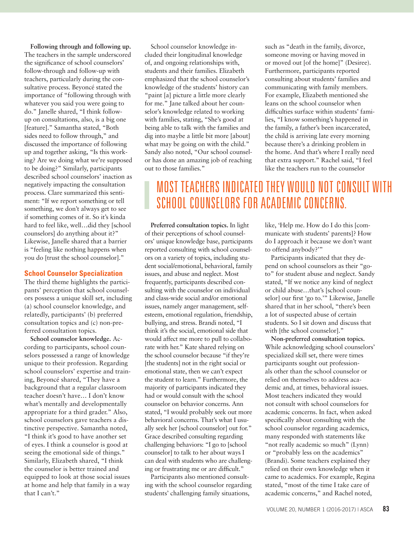**Following through and following up.**  The teachers in the sample underscored the significance of school counselors' follow-through and follow-up with teachers, particularly during the consultative process. Beyoncé stated the importance of "following through with whatever you said you were going to do." Janelle shared, "I think followup on consultations, also, is a big one [feature]." Samantha stated, "Both sides need to follow through," and discussed the importance of following up and together asking, "Is this working? Are we doing what we're supposed to be doing?" Similarly, participants described school counselors' inaction as negatively impacting the consultation process. Clare summarized this sentiment: "If we report something or tell something, we don't always get to see if something comes of it. So it's kinda hard to feel like, well…did they [school counselors] do anything about it?" Likewise, Janelle shared that a barrier is "feeling like nothing happens when you do [trust the school counselor]."

#### **School Counselor Specialization**

The third theme highlights the participants' perception that school counselors possess a unique skill set, including (a) school counselor knowledge, and relatedly, participants' (b) preferred consultation topics and (c) non-preferred consultation topics.

**School counselor knowledge.** According to participants, school counselors possessed a range of knowledge unique to their profession. Regarding school counselors' expertise and training, Beyoncé shared, "They have a background that a regular classroom teacher doesn't have… I don't know what's mentally and developmentally appropriate for a third grader." Also, school counselors gave teachers a distinctive perspective. Samantha noted, "I think it's good to have another set of eyes. I think a counselor is good at seeing the emotional side of things." Similarly, Elizabeth shared, "I think the counselor is better trained and equipped to look at those social issues at home and help that family in a way that I can't."

School counselor knowledge included their longitudinal knowledge of, and ongoing relationships with, students and their families. Elizabeth emphasized that the school counselor's knowledge of the students' history can "paint [a] picture a little more clearly for me." Jane talked about her counselor's knowledge related to working with families, stating, "She's good at being able to talk with the families and dig into maybe a little bit more [about] what may be going on with the child." Sandy also noted, "Our school counselor has done an amazing job of reaching out to those families."

such as "death in the family, divorce, someone moving or having moved in or moved out [of the home]" (Desiree). Furthermore, participants reported consulting about students' families and communicating with family members. For example, Elizabeth mentioned she leans on the school counselor when difficulties surface within students' families, "I know something's happened in the family, a father's been incarcerated, the child is arriving late every morning because there's a drinking problem in the home. And that's where I really need that extra support." Rachel said, "I feel like the teachers run to the counselor

### MOST TEACHERS INDICATED THEY WOULD NOT CONSULT WITH SCHOOL COUNSELORS FOR ACADEMIC CONCERNS.

**Preferred consultation topics.** In light of their perceptions of school counselors' unique knowledge base, participants reported consulting with school counselors on a variety of topics, including student social/emotional, behavioral, family issues, and abuse and neglect. Most frequently, participants described consulting with the counselor on individual and class-wide social and/or emotional issues, namely anger management, selfesteem, emotional regulation, friendship, bullying, and stress. Brandi noted, "I think it's the social, emotional side that would affect me more to pull to collaborate with her." Kate shared relying on the school counselor because "if they're [the students] not in the right social or emotional state, then we can't expect the student to learn." Furthermore, the majority of participants indicated they had or would consult with the school counselor on behavior concerns. Ann stated, "I would probably seek out more behavioral concerns. That's what I usually seek her [school counselor] out for." Grace described consulting regarding challenging behaviors: "I go to [school counselor] to talk to her about ways I can deal with students who are challenging or frustrating me or are difficult."

Participants also mentioned consulting with the school counselor regarding students' challenging family situations,

like, 'Help me. How do I do this [communicate with students' parents]? How do I approach it because we don't want to offend anybody?'"

Participants indicated that they depend on school counselors as their "goto" for student abuse and neglect. Sandy stated, "If we notice any kind of neglect or child abuse…that's [school counselor] our first 'go to.'" Likewise, Janelle shared that in her school, "there's been a lot of suspected abuse of certain students. So I sit down and discuss that with [the school counselor]."

**Non-preferred consultation topics.** While acknowledging school counselors' specialized skill set, there were times participants sought out professionals other than the school counselor or relied on themselves to address academic and, at times, behavioral issues. Most teachers indicated they would not consult with school counselors for academic concerns. In fact, when asked specifically about consulting with the school counselor regarding academics, many responded with statements like "not really academic so much" (Lynn) or "probably less on the academics" (Brandi). Some teachers explained they relied on their own knowledge when it came to academics. For example, Regina stated, "most of the time I take care of academic concerns," and Rachel noted,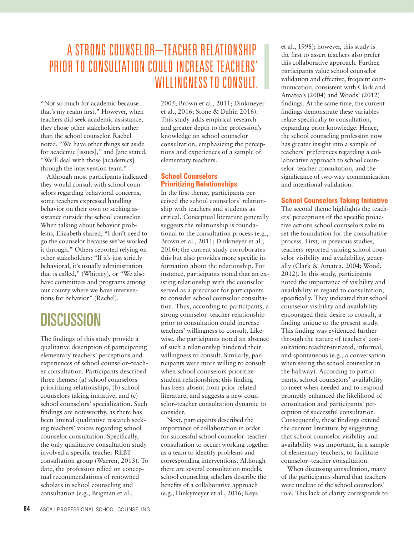### A STRONG COUNSELOR–TEACHER RELATIONSHIP PRIOR TO CONSULTATION COULD INCREASE TEACHERS' WILLINGNESS TO CONSULT.

"Not so much for academic because… that's my realm first." However, when teachers did seek academic assistance, they chose other stakeholders rather than the school counselor. Rachel noted, "We have other things set aside for academic [issues]," and Jane stated, "We'll deal with those [academics] through the intervention team."

Although most participants indicated they would consult with school counselors regarding behavioral concerns, some teachers expressed handling behavior on their own or seeking assistance outside the school counselor. When talking about behavior problems, Elizabeth shared, "I don't need to go the counselor because we've worked it through." Others reported relying on other stakeholders: "If it's just strictly behavioral, it's usually administration that is called," (Whitney), or "We also have committees and programs among our county where we have interventions for behavior" (Rachel).

# **DISCUSSION**

The findings of this study provide a qualitative description of participating elementary teachers' perceptions and experiences of school counselor–teacher consultation. Participants described three themes: (a) school counselors prioritizing relationships, (b) school counselors taking initiative, and (c) school counselors' specialization. Such findings are noteworthy, as there has been limited qualitative research seeking teachers' voices regarding school counselor consultation. Specifically, the only qualitative consultation study involved a specific teacher REBT consultation group (Warren, 2013). To date, the profession relied on conceptual recommendations of renowned scholars in school counseling and consultation (e.g., Brigman et al.,

2005; Brown et al., 2011; Dinkmeyer et al., 2016; Stone & Dahir, 2016). This study adds empirical research and greater depth to the profession's knowledge on school counselor consultation, emphasizing the perceptions and experiences of a sample of elementary teachers.

#### **School Counselors Prioritizing Relationships**

In the first theme, participants perceived the school counselors' relationship with teachers and students as critical. Conceptual literature generally suggests the relationship is foundational to the consultation process (e.g., Brown et al., 2011; Dinkmeyer et al., 2016); the current study corroborates this but also provides more specific information about the relationship. For instance, participants noted that an existing relationship with the counselor served as a precursor for participants to consider school counselor consultation. Thus, according to participants, a strong counselor–teacher relationship prior to consultation could increase teachers' willingness to consult. Likewise, the participants noted an absence of such a relationship hindered their willingness to consult. Similarly, participants were more willing to consult when school counselors prioritize student relationships; this finding has been absent from prior related literature, and suggests a new counselor–teacher consultation dynamic to consider.

Next, participants described the importance of collaboration in order for successful school counselor–teacher consultation to occur: working together as a team to identify problems and corresponding interventions. Although there are several consultation models, school counseling scholars describe the benefits of a collaborative approach (e.g., Dinkymeyer et al., 2016; Keys

et al., 1998); however, this study is the first to assert teachers also prefer this collaborative approach. Further, participants value school counselor validation and effective, frequent communication, consistent with Clark and Amatea's (2004) and Woods' (2012) findings. At the same time, the current findings demonstrate these variables relate specifically to consultation, expanding prior knowledge. Hence, the school counseling profession now has greater insight into a sample of teachers' preferences regarding a collaborative approach to school counselor–teacher consultation, and the significance of two-way communication and intentional validation.

#### **School Counselors Taking Initiative**

The second theme highlights the teachers' perceptions of the specific proactive actions school counselors take to set the foundation for the consultative process. First, in previous studies, teachers reported valuing school counselor visibility and availability, generally (Clark & Amatea, 2004; Wood, 2012). In this study, participants noted the importance of visibility and availability in regard to consultation, specifically. They indicated that school counselor visibility and availability encouraged their desire to consult, a finding unique to the present study. This finding was evidenced further through the nature of teachers' consultation: teacher-initiated, informal, and spontaneous (e.g., a conversation when seeing the school counselor in the hallway). According to participants, school counselors' availability to meet when needed and to respond promptly enhanced the likelihood of consultation and participants' perception of successful consultation. Consequently, these findings extend the current literature by suggesting that school counselor visibility and availability was important, in a sample of elementary teachers, to facilitate counselor–teacher consultation.

When discussing consultation, many of the participants shared that teachers were unclear of the school counselors' role. This lack of clarity corresponds to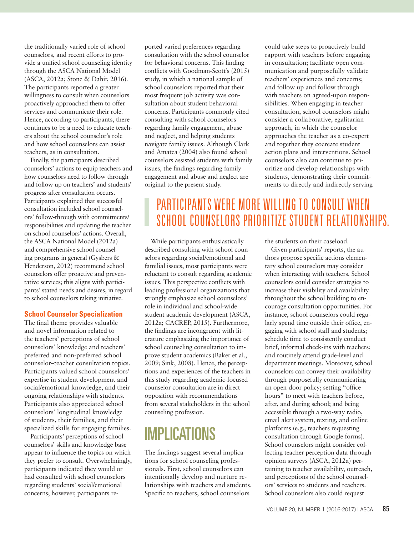the traditionally varied role of school counselors, and recent efforts to provide a unified school counseling identity through the ASCA National Model (ASCA, 2012a; Stone & Dahir, 2016). The participants reported a greater willingness to consult when counselors proactively approached them to offer services and communicate their role. Hence, according to participants, there continues to be a need to educate teachers about the school counselor's role and how school counselors can assist teachers, as in consultation.

Finally, the participants described counselors' actions to equip teachers and how counselors need to follow through and follow up on teachers' and students' progress after consultation occurs. Participants explained that successful consultation included school counselors' follow-through with commitments/ responsibilities and updating the teacher on school counselors' actions. Overall, the ASCA National Model (2012a) and comprehensive school counseling programs in general (Gysbers & Henderson, 2012) recommend school counselors offer proactive and preventative services; this aligns with participants' stated needs and desires, in regard to school counselors taking initiative.

#### **School Counselor Specialization**

The final theme provides valuable and novel information related to the teachers' perceptions of school counselors' knowledge and teachers' preferred and non-preferred school counselor–teacher consultation topics. Participants valued school counselors' expertise in student development and social/emotional knowledge, and their ongoing relationships with students. Participants also appreciated school counselors' longitudinal knowledge of students, their families, and their specialized skills for engaging families.

Participants' perceptions of school counselors' skills and knowledge base appear to influence the topics on which they prefer to consult. Overwhelmingly, participants indicated they would or had consulted with school counselors regarding students' social/emotional concerns; however, participants reported varied preferences regarding consultation with the school counselor for behavioral concerns. This finding conflicts with Goodman-Scott's (2015) study, in which a national sample of school counselors reported that their most frequent job activity was consultation about student behavioral concerns. Participants commonly cited consulting with school counselors regarding family engagement, abuse and neglect, and helping students navigate family issues. Although Clark and Amatea (2004) also found school counselors assisted students with family issues, the findings regarding family engagement and abuse and neglect are original to the present study.

could take steps to proactively build rapport with teachers before engaging in consultation; facilitate open communication and purposefully validate teachers' experiences and concerns; and follow up and follow through with teachers on agreed-upon responsibilities. When engaging in teacher consultation, school counselors might consider a collaborative, egalitarian approach, in which the counselor approaches the teacher as a co-expert and together they cocreate student action plans and interventions. School counselors also can continue to prioritize and develop relationships with students, demonstrating their commitments to directly and indirectly serving

### PARTICIPANTS WERE MORE WILLING TO CONSULT WHEN SCHOOL COUNSELORS PRIORITIZE STUDENT RELATIONSHIPS.

While participants enthusiastically described consulting with school counselors regarding social/emotional and familial issues, most participants were reluctant to consult regarding academic issues. This perspective conflicts with leading professional organizations that strongly emphasize school counselors' role in individual and school-wide student academic development (ASCA, 2012a; CACREP, 2015). Furthermore, the findings are incongruent with literature emphasizing the importance of school counseling consultation to improve student academics (Baker et al., 2009; Sink, 2008). Hence, the perceptions and experiences of the teachers in this study regarding academic-focused counselor consultation are in direct opposition with recommendations from several stakeholders in the school counseling profession.

## IMPLICATIONS

The findings suggest several implications for school counseling professionals. First, school counselors can intentionally develop and nurture relationships with teachers and students. Specific to teachers, school counselors

the students on their caseload.

Given participants' reports, the authors propose specific actions elementary school counselors may consider when interacting with teachers. School counselors could consider strategies to increase their visibility and availability throughout the school building to encourage consultation opportunities. For instance, school counselors could regularly spend time outside their office, engaging with school staff and students; schedule time to consistently conduct brief, informal check-ins with teachers; and routinely attend grade-level and department meetings. Moreover, school counselors can convey their availability through purposefully communicating an open-door policy; setting "office hours" to meet with teachers before, after, and during school; and being accessible through a two-way radio, email alert system, texting, and online platforms (e.g., teachers requesting consultation through Google forms). School counselors might consider collecting teacher perception data through opinion surveys (ASCA, 2012a) pertaining to teacher availability, outreach, and perceptions of the school counselors' services to students and teachers. School counselors also could request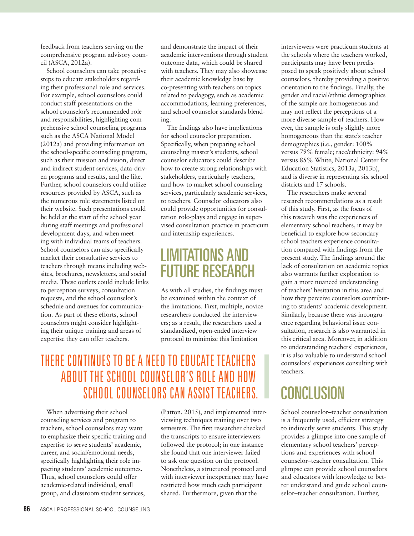feedback from teachers serving on the comprehensive program advisory council (ASCA, 2012a).

School counselors can take proactive steps to educate stakeholders regarding their professional role and services. For example, school counselors could conduct staff presentations on the school counselor's recommended role and responsibilities, highlighting comprehensive school counseling programs such as the ASCA National Model (2012a) and providing information on the school-specific counseling program, such as their mission and vision, direct and indirect student services, data-driven programs and results, and the like. Further, school counselors could utilize resources provided by ASCA, such as the numerous role statements listed on their website. Such presentations could be held at the start of the school year during staff meetings and professional development days, and when meeting with individual teams of teachers. School counselors can also specifically market their consultative services to teachers through means including websites, brochures, newsletters, and social media. These outlets could include links to perception surveys, consultation requests, and the school counselor's schedule and avenues for communication. As part of these efforts, school counselors might consider highlighting their unique training and areas of expertise they can offer teachers.

and demonstrate the impact of their academic interventions through student outcome data, which could be shared with teachers. They may also showcase their academic knowledge base by co-presenting with teachers on topics related to pedagogy, such as academic accommodations, learning preferences, and school counselor standards blending.

The findings also have implications for school counselor preparation. Specifically, when preparing school counseling master's students, school counselor educators could describe how to create strong relationships with stakeholders, particularly teachers, and how to market school counseling services, particularly academic services, to teachers. Counselor educators also could provide opportunities for consultation role-plays and engage in supervised consultation practice in practicum and internship experiences.

### LIMITATIONS AND FUTURE RESEARCH

As with all studies, the findings must be examined within the context of the limitations. First, multiple, novice researchers conducted the interviewers; as a result, the researchers used a standardized, open-ended interview protocol to minimize this limitation

### THERE CONTINUES TO BE A NEED TO EDUCATE TEACHERS ABOUT THE SCHOOL COUNSELOR'S ROLE AND HOW SCHOOL COUNSELORS CAN ASSIST TEACHERS.

When advertising their school counseling services and program to teachers, school counselors may want to emphasize their specific training and expertise to serve students' academic, career, and social/emotional needs, specifically highlighting their role impacting students' academic outcomes. Thus, school counselors could offer academic-related individual, small group, and classroom student services,

(Patton, 2015), and implemented interviewing techniques training over two semesters. The first researcher checked the transcripts to ensure interviewers followed the protocol; in one instance she found that one interviewer failed to ask one question on the protocol. Nonetheless, a structured protocol and with interviewer inexperience may have restricted how much each participant shared. Furthermore, given that the

interviewers were practicum students at the schools where the teachers worked, participants may have been predisposed to speak positively about school counselors, thereby providing a positive orientation to the findings. Finally, the gender and racial/ethnic demographics of the sample are homogeneous and may not reflect the perceptions of a more diverse sample of teachers. However, the sample is only slightly more homogeneous than the state's teacher demographics (i.e., gender: 100% versus 79% female; race/ethnicity: 94% versus 85% White; National Center for Education Statistics, 2013a, 2013b), and is diverse in representing six school districts and 17 schools.

The researchers make several research recommendations as a result of this study. First, as the focus of this research was the experiences of elementary school teachers, it may be beneficial to explore how secondary school teachers experience consultation compared with findings from the present study. The findings around the lack of consultation on academic topics also warrants further exploration to gain a more nuanced understanding of teachers' hesitation in this area and how they perceive counselors contributing to students' academic development. Similarly, because there was incongruence regarding behavioral issue consultation, research is also warranted in this critical area. Moreover, in addition to understanding teachers' experiences, it is also valuable to understand school counselors' experiences consulting with teachers.

# **CONCLUSION**

School counselor–teacher consultation is a frequently used, efficient strategy to indirectly serve students. This study provides a glimpse into one sample of elementary school teachers' perceptions and experiences with school counselor–teacher consultation. This glimpse can provide school counselors and educators with knowledge to better understand and guide school counselor–teacher consultation. Further,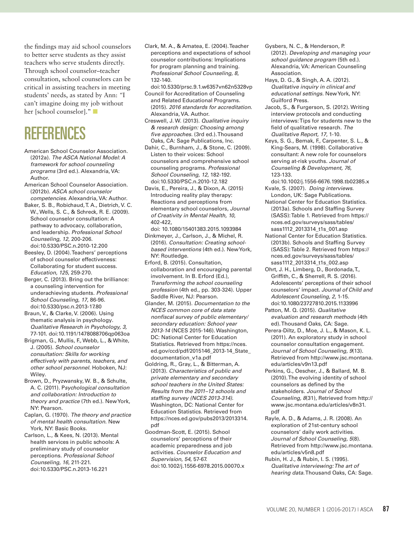the findings may aid school counselors to better serve students as they assist teachers who serve students directly. Through school counselor–teacher consultation, school counselors can be critical in assisting teachers in meeting students' needs, as stated by Ann: *"*I can't imagine doing my job without her [school counselor]."

# REFERENCES

- American School Counselor Association. (2012a). *The ASCA National Model: A framework for school counseling programs* (3rd ed.). Alexandria, VA: Author.
- American School Counselor Association. (2012b). *ASCA school counselor competencies*. Alexandria, VA: Author.
- Baker, S. B., Robichaud, T. A., Dietrich, V. C. W., Wells, S. C., & Schreck, R. E. (2009). School counselor consultation: A pathway to advocacy, collaboration, and leadership. *Professional School Counseling, 12*, 200-206.
- doi:10.5330/PSC.n.2010-12.200 Beesley, D. (2004). Teachers' perceptions of school counselor effectiveness: Collaborating for student success. *Education, 125*, 259-270.
- Berger, C. (2013). Bring out the brilliance: a counseling intervention for underachieving students. *Professional School Counseling*, *17*, 86-96. doi:10.5330/psc.n.2013-17.80
- Braun, V., & Clarke, V. (2006). Using thematic analysis in psychology*. Qualitative Research in Psychology, 3,*  77-101. doi:10.1191/1478088706qp063oa
- Brigman, G., Mullis, F., Webb, L., & White, J. (2005). *School counselor consultation: Skills for working effectively with parents, teachers, and other school personnel*. Hoboken, NJ: Wiley.
- Brown, D., Pryzwansky, W. B., & Schulte, A. C. (2011). P*sychological consultation and collaboration: Introduction to theory and practice* (7th ed.). New York, NY: Pearson.
- Caplan, G. (1970). *The theory and practice of mental health consultation*. New York, NY: Basic Books.
- Carlson, L., & Kees, N. (2013). Mental health services in public schools: A preliminary study of counselor perceptions. *Professional School Counseling, 16*, 211-221. doi:10.5330/PSC.n.2013-16.221
- Clark, M. A., & Amatea, E. (2004). Teacher perceptions and expectations of school counselor contributions: Implications for program planning and training. *Professional School Counseling, 8*, 132-140.
- doi:10.5330/prsc.9.1.w6357vn62n5328vp Council for Accreditation of Counseling and Related Educational Programs. (2015). *2016 standards for accreditation*. Alexandria, VA. Author.
- Creswell, J. W. (2013). *Qualitative inquiry & research design: Choosing among five approaches.* (3rd ed.). Thousand Oaks, CA: Sage Publications, Inc.
- Dahir, C., Burnham, J., & Stone, C. (2009). Listen to their voices: School counselors and comprehensive school counseling programs. *Professional School Counseling, 12*, 182-192. doi:10.5330/PSC.n.2010-12.182
- Davis, E., Pereira, J., & Dixon, A. (2015) Introducing reality play therapy: Reactions and perceptions from elementary school counselors, *Journal of Creativity in Mental Health, 10*, 402-422,
- doi: 10.1080/15401383.2015.1093984 Dinkmeyer, J., Carlson, J., & Michel, R. (2016). *Consultation: Creating schoolbased interventions* (4th ed.). New York, NY: Routledge.
- Erford, B. (2015). Consultation, collaboration and encouraging parental involvement. In B. Erford (Ed.), *Transforming the school counseling profession* (4th ed., pp. 303-324). Upper Saddle River, NJ: Pearson.
- Glander, M. (2015). *Documentation to the NCES common core of data state nonfiscal survey of public elementary/ secondary education: School year 2013-14* (NCES 2015-146). Washington, DC: National Center for Education Statistics. Retrieved from https://nces. ed.gov/ccd/pdf/2015146\_2013-14\_State\_ documentation\_v1a.pdf
- Goldring, R., Gray, L., & Bitterman, A. (2013). *Characteristics of public and private elementary and secondary school teachers in the United States: Results from the 2011–12 schools and staffing survey (NCES 2013-314)*. Washington, DC: National Center for Education Statistics. Retrieved from https://nces.ed.gov/pubs2013/2013314. pdf
- Goodman-Scott, E. (2015). School counselors' perceptions of their academic preparedness and job activities. *Counselor Education and Supervision*, *54*, 57-67. doi:10.1002/j.1556-6978.2015.00070.x
- Gysbers, N. C., & Henderson, P. (2012). *Developing and managing your school guidance program* (5th ed.). Alexandria, VA: American Counseling Association.
- Hays, D. G., & Singh, A. A. (2012). *Qualitative inquiry in clinical and educational settings.* New York, NY: Guilford Press.
- Jacob, S., & Furgerson, S. (2012). Writing interview protocols and conducting interviews: Tips for students new to the field of qualitative research. *The Qualitative Report, 17*, 1-10.
- Keys, S. G., Bemak, F., Carpenter, S. L., & King-Sears, M. (1998). Collaborative consultant: A new role for counselors serving at-risk youths. *Journal of Counseling & Development, 76*, 123-133.
- doi:10.1002/j.1556-6676.1998.tb02385.x Kvale, S. (2007). *Doing interviews.*
- London, UK: Sage Publications. National Center for Education Statistics. (2013a). Schools and Staffing Survey (SASS): Table 1. Retrieved from https:// nces.ed.gov/surveys/sass/tables/ sass1112\_2013314\_t1s\_001.asp
- National Center for Education Statistics. (2013b). Schools and Staffing Survey (SASS): Table 2. Retrieved from https:// nces.ed.gov/surveys/sass/tables/ sass1112\_2013314\_t1s\_002.asp
- Ohrt, J. H., Limberg, D., Bordonada, T., Griffith, C., & Sherrell, R. S. (2016). Adolescents' perceptions of their school counselors' impact*. Journal of Child and Adolescent Counseling, 2*, 1-15.
- doi:10.1080/23727810.2015.1133996 Patton, M. Q. (2015). *Qualitative evaluation and research methods* (4th ed). Thousand Oaks, CA: Sage.
- Perera-Diltz, D., Moe, J. L., & Mason, K. L. (2011). An exploratory study in school counselor consultation engagement. *Journal of School Counseling, 9*(13). Retrieved from http://www.jsc.montana. edu/articles/v9n13.pdf
- Perkins, G., Oescher, J., & Ballard, M. B. (2010). The evolving identity of school counselors as defined by the stakeholders. *Journal of School Counseling, 8*(31), Retrieved from http:// www.jsc.montana.edu/articles/v8n31. pdf
- Rayle, A. D., & Adams, J. R. (2008). An exploration of 21st-century school counselors' daily work activities. *Journal of School Counseling, 5*(8). Retrieved from http://www.jsc.montana. edu/articles/v5n8.pdf
- Rubin, H. J., & Rubin, I. S. (1995). *Qualitative interviewing: The art of hearing data*. Thousand Oaks, CA: Sage.